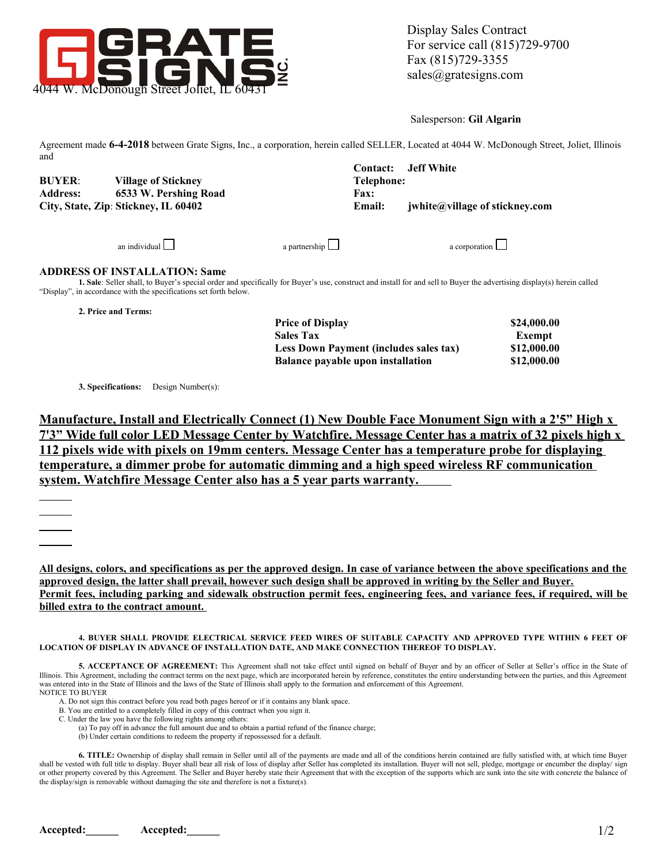

Salesperson: **Gil Algarin**

Agreement made **6-4-2018** between Grate Signs, Inc., a corporation, herein called SELLER, Located at 4044 W. McDonough Street, Joliet, Illinois and **Contact: Jeff White**

|                                      |                            | Contact:    | Jett White                            |
|--------------------------------------|----------------------------|-------------|---------------------------------------|
| <b>BUYER:</b>                        | <b>Village of Sticknev</b> | Telephone:  |                                       |
| <b>Address:</b>                      | 6533 W. Pershing Road      | <b>Fax:</b> |                                       |
| City, State, Zip: Stickney, IL 60402 |                            | Email:      | <i>iwhite@village of stickney.com</i> |
|                                      |                            |             |                                       |
|                                      |                            |             |                                       |

an individual a partnership  $\Box$ 

## **ADDRESS OF INSTALLATION: Same**

**1. Sale**: Seller shall, to Buyer's special order and specifically for Buyer's use, construct and install for and sell to Buyer the advertising display(s) herein called "Display", in accordance with the specifications set forth below.

**2. Price and Terms:**

| <b>Price of Display</b>                  | \$24,000.00 |
|------------------------------------------|-------------|
| <b>Sales Tax</b>                         | Exempt      |
| Less Down Payment (includes sales tax)   | \$12,000.00 |
| <b>Balance pavable upon installation</b> | \$12,000.00 |

**3. Specifications:** Design Number(s):

**Manufacture, Install and Electrically Connect (1) New Double Face Monument Sign with a 2'5" High x 7'3" Wide full color LED Message Center by Watchfire. Message Center has a matrix of 32 pixels high x 112 pixels wide with pixels on 19mm centers. Message Center has a temperature probe for displaying temperature, a dimmer probe for automatic dimming and a high speed wireless RF communication system. Watchfire Message Center also has a 5 year parts warranty.** 

**All designs, colors, and specifications as per the approved design. In case of variance between the above specifications and the approved design, the latter shall prevail, however such design shall be approved in writing by the Seller and Buyer. Permit fees, including parking and sidewalk obstruction permit fees, engineering fees, and variance fees, if required, will be billed extra to the contract amount.** 

**4. BUYER SHALL PROVIDE ELECTRICAL SERVICE FEED WIRES OF SUITABLE CAPACITY AND APPROVED TYPE WITHIN 6 FEET OF LOCATION OF DISPLAY IN ADVANCE OF INSTALLATION DATE, AND MAKE CONNECTION THEREOF TO DISPLAY.**

5. ACCEPTANCE OF AGREEMENT: This Agreement shall not take effect until signed on behalf of Buyer and by an officer of Seller at Seller's office in the State of Illinois. This Agreement, including the contract terms on the next page, which are incorporated herein by reference, constitutes the entire understanding between the parties, and this Agreement was entered into in the State of Illinois and the laws of the State of Illinois shall apply to the formation and enforcement of this Agreement. NOTICE TO BUYER

A. Do not sign this contract before you read both pages hereof or if it contains any blank space.

- B. You are entitled to a completely filled in copy of this contract when you sign it.
- C. Under the law you have the following rights among others:

(a) To pay off in advance the full amount due and to obtain a partial refund of the finance charge;

(b) Under certain conditions to redeem the property if repossessed for a default.

**6. TITLE:** Ownership of display shall remain in Seller until all of the payments are made and all of the conditions herein contained are fully satisfied with, at which time Buyer shall be vested with full title to display. Buyer shall bear all risk of loss of display after Seller has completed its installation. Buyer will not sell, pledge, mortgage or encumber the display/ sign or other property covered by this Agreement. The Seller and Buyer hereby state their Agreement that with the exception of the supports which are sunk into the site with concrete the balance of the display/sign is removable without damaging the site and therefore is not a fixture(s).